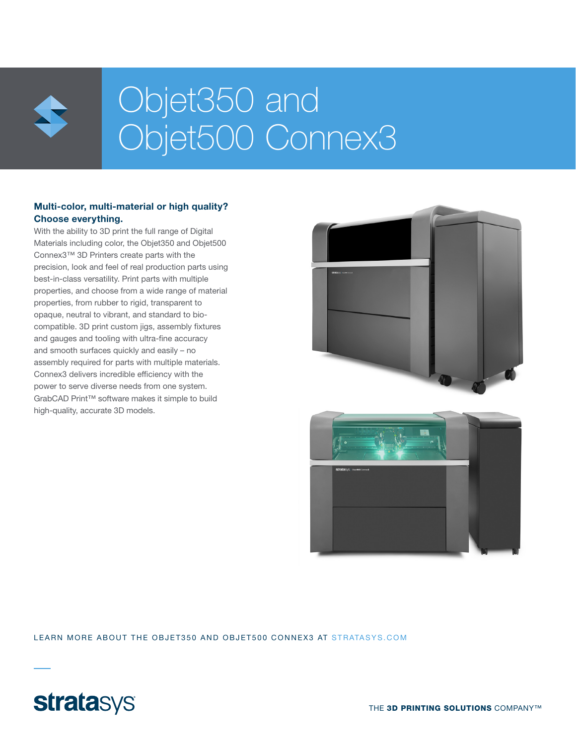

# Objet350 and Objet500 Connex3

### Multi-color, multi-material or high quality? Choose everything.

With the ability to 3D print the full range of Digital Materials including color, the Objet350 and Objet500 Connex3™ 3D Printers create parts with the precision, look and feel of real production parts using best-in-class versatility. Print parts with multiple properties, and choose from a wide range of material properties, from rubber to rigid, transparent to opaque, neutral to vibrant, and standard to biocompatible. 3D print custom jigs, assembly fixtures and gauges and tooling with ultra-fine accuracy and smooth surfaces quickly and easily – no assembly required for parts with multiple materials. Connex3 delivers incredible efficiency with the power to serve diverse needs from one system. GrabCAD Print™ software makes it simple to build high-quality, accurate 3D models.



LEARN MORE ABOUT THE OBJET350 AND OBJET500 CONNEX3 AT STRATASYS.COM